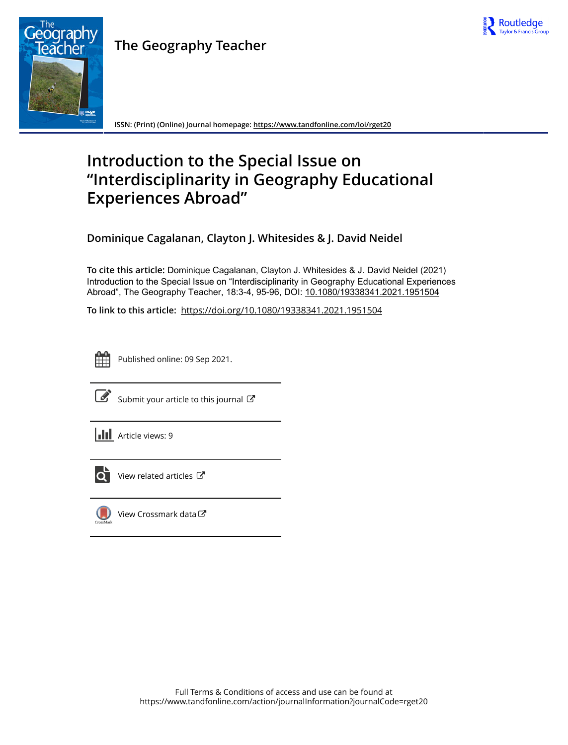

## **The Geography Teacher**



**ISSN: (Print) (Online) Journal homepage:<https://www.tandfonline.com/loi/rget20>**

# **Introduction to the Special Issue on "Interdisciplinarity in Geography Educational Experiences Abroad"**

**Dominique Cagalanan, Clayton J. Whitesides & J. David Neidel**

**To cite this article:** Dominique Cagalanan, Clayton J. Whitesides & J. David Neidel (2021) Introduction to the Special Issue on "Interdisciplinarity in Geography Educational Experiences Abroad", The Geography Teacher, 18:3-4, 95-96, DOI: [10.1080/19338341.2021.1951504](https://www.tandfonline.com/action/showCitFormats?doi=10.1080/19338341.2021.1951504)

**To link to this article:** <https://doi.org/10.1080/19338341.2021.1951504>



Published online: 09 Sep 2021.



 $\overrightarrow{S}$  [Submit your article to this journal](https://www.tandfonline.com/action/authorSubmission?journalCode=rget20&show=instructions)  $\overrightarrow{S}$ 





 $\overline{\mathbf{C}}$  [View related articles](https://www.tandfonline.com/doi/mlt/10.1080/19338341.2021.1951504)  $\mathbf{C}$ 



[View Crossmark data](http://crossmark.crossref.org/dialog/?doi=10.1080/19338341.2021.1951504&domain=pdf&date_stamp=2021-09-09)<sup>で</sup>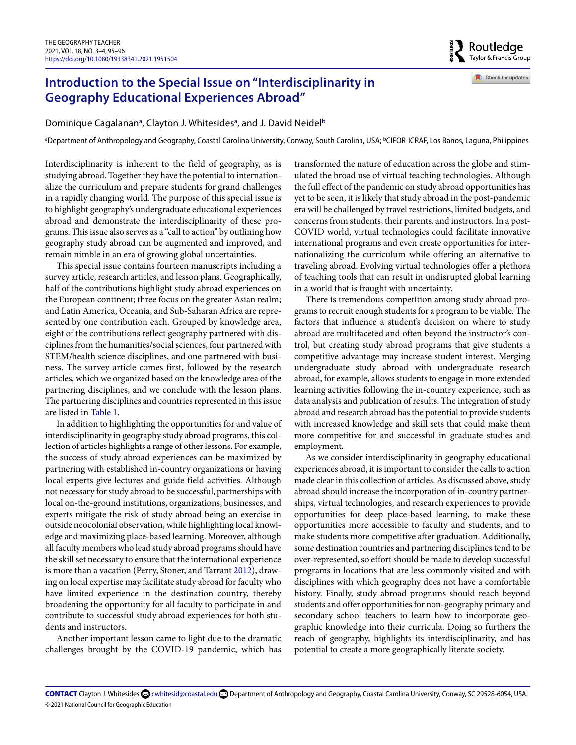### **Introduction to the Special Issue on "Interdisciplinarity in Geography Educational Experiences Abroad"**

Dominique C[a](#page-1-0)galanan<sup>a</sup>, Clayton J. Whitesides<sup>a</sup>, and J. David Neidel<sup>b</sup>

<span id="page-1-1"></span><span id="page-1-0"></span>ªDepartment of Anthropology and Geography, Coastal Carolina University, Conway, South Carolina, USA; <sup>b</sup>CIFOR-ICRAF, Los Baños, Laguna, Philippines

Interdisciplinarity is inherent to the field of geography, as is studying abroad. Together they have the potential to internationalize the curriculum and prepare students for grand challenges in a rapidly changing world. The purpose of this special issue is to highlight geography's undergraduate educational experiences abroad and demonstrate the interdisciplinarity of these programs. This issue also serves as a "call to action" by outlining how geography study abroad can be augmented and improved, and remain nimble in an era of growing global uncertainties.

This special issue contains fourteen manuscripts including a survey article, research articles, and lesson plans. Geographically, half of the contributions highlight study abroad experiences on the European continent; three focus on the greater Asian realm; and Latin America, Oceania, and Sub-Saharan Africa are represented by one contribution each. Grouped by knowledge area, eight of the contributions reflect geography partnered with disciplines from the humanities/social sciences, four partnered with STEM/health science disciplines, and one partnered with business. The survey article comes first, followed by the research articles, which we organized based on the knowledge area of the partnering disciplines, and we conclude with the lesson plans. The partnering disciplines and countries represented in this issue are listed in [Table 1.](#page-2-0)

In addition to highlighting the opportunities for and value of interdisciplinarity in geography study abroad programs, this collection of articles highlights a range of other lessons. For example, the success of study abroad experiences can be maximized by partnering with established in-country organizations or having local experts give lectures and guide field activities. Although not necessary for study abroad to be successful, partnerships with local on-the-ground institutions, organizations, businesses, and experts mitigate the risk of study abroad being an exercise in outside neocolonial observation, while highlighting local knowledge and maximizing place-based learning. Moreover, although all faculty members who lead study abroad programs should have the skill set necessary to ensure that the international experience is more than a vacation (Perry, Stoner, and Tarrant [2012\)](#page-2-1), drawing on local expertise may facilitate study abroad for faculty who have limited experience in the destination country, thereby broadening the opportunity for all faculty to participate in and contribute to successful study abroad experiences for both students and instructors.

<span id="page-1-2"></span>Another important lesson came to light due to the dramatic challenges brought by the COVID-19 pandemic, which has transformed the nature of education across the globe and stimulated the broad use of virtual teaching technologies. Although the full effect of the pandemic on study abroad opportunities has yet to be seen, it is likely that study abroad in the post-pandemic era will be challenged by travel restrictions, limited budgets, and concerns from students, their parents, and instructors. In a post-COVID world, virtual technologies could facilitate innovative international programs and even create opportunities for internationalizing the curriculum while offering an alternative to traveling abroad. Evolving virtual technologies offer a plethora of teaching tools that can result in undisrupted global learning in a world that is fraught with uncertainty.

Routledge Taylor & Francis Group

Check for updates

There is tremendous competition among study abroad programs to recruit enough students for a program to be viable. The factors that influence a student's decision on where to study abroad are multifaceted and often beyond the instructor's control, but creating study abroad programs that give students a competitive advantage may increase student interest. Merging undergraduate study abroad with undergraduate research abroad, for example, allows students to engage in more extended learning activities following the in-country experience, such as data analysis and publication of results. The integration of study abroad and research abroad has the potential to provide students with increased knowledge and skill sets that could make them more competitive for and successful in graduate studies and employment.

As we consider interdisciplinarity in geography educational experiences abroad, it is important to consider the calls to action made clear in this collection of articles. As discussed above, study abroad should increase the incorporation of in-country partnerships, virtual technologies, and research experiences to provide opportunities for deep place-based learning, to make these opportunities more accessible to faculty and students, and to make students more competitive after graduation. Additionally, some destination countries and partnering disciplines tend to be over-represented, so effort should be made to develop successful programs in locations that are less commonly visited and with disciplines with which geography does not have a comfortable history. Finally, study abroad programs should reach beyond students and offer opportunities for non-geography primary and secondary school teachers to learn how to incorporate geographic knowledge into their curricula. Doing so furthers the reach of geography, highlights its interdisciplinarity, and has potential to create a more geographically literate society.

© 2021 National Council for Geographic Education CONTACT Clayton J. Whitesides ۞ [cwhitesid@coastal.edu](mailto:cwhitesid@coastal.edu) **B** Department of Anthropology and Geography, Coastal Carolina University, Conway, SC 29528-6054, USA.